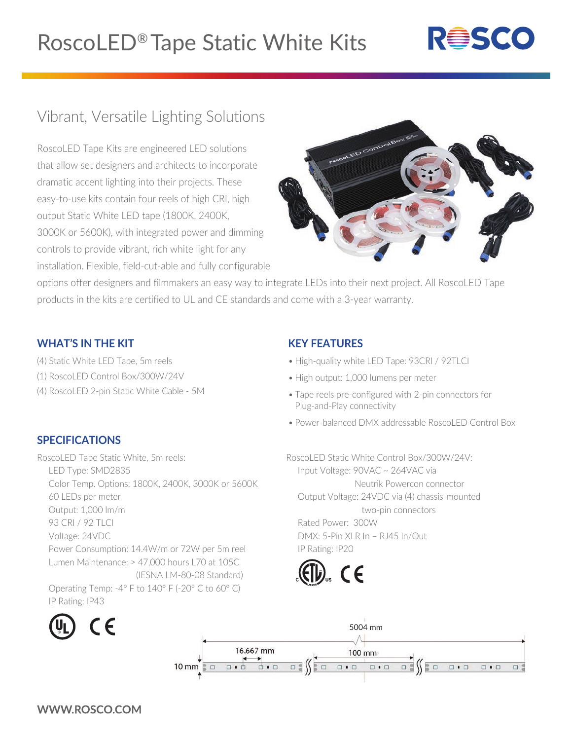# RoscoLED® Tape Static White Kits



## Vibrant, Versatile Lighting Solutions

RoscoLED Tape Kits are engineered LED solutions that allow set designers and architects to incorporate dramatic accent lighting into their projects. These easy-to-use kits contain four reels of high CRI, high output Static White LED tape (1800K, 2400K, 3000K or 5600K), with integrated power and dimming controls to provide vibrant, rich white light for any installation. Flexible, field-cut-able and fully configurable



options offer designers and filmmakers an easy way to integrate LEDs into their next project. All RoscoLED Tape products in the kits are certified to UL and CE standards and come with a 3-year warranty.

#### **WHAT'S IN THE KIT**

- (4) Static White LED Tape, 5m reels
- (1) RoscoLED Control Box/300W/24V
- (4) RoscoLED 2-pin Static White Cable 5M

#### **SPECIFICATIONS**

RoscoLED Tape Static White, 5m reels: LED Type: SMD2835 Color Temp. Options: 1800K, 2400K, 3000K or 5600K 60 LEDs per meter Output: 1,000 lm/m 93 CRI / 92 TLCI Voltage: 24VDC Power Consumption: 14.4W/m or 72W per 5m reel Lumen Maintenance: > 47,000 hours L70 at 105C (IESNA LM-80-08 Standard) Operating Temp: -4° F to 140° F (-20° C to 60° C) IP Rating: IP43



### **KEY FEATURES**

- High-quality white LED Tape: 93CRI / 92TLCI
- High output: 1,000 lumens per meter
- Tape reels pre-configured with 2-pin connectors for Plug-and-Play connectivity
- Power-balanced DMX addressable RoscoLED Control Box

RoscoLED Static White Control Box/300W/24V: Input Voltage: 90VAC ~ 264VAC via Neutrik Powercon connector Output Voltage: 24VDC via (4) chassis-mounted two-pin connectors Rated Power: 300W DMX: 5-Pin XLR In – RJ45 In/Out IP Rating: IP20